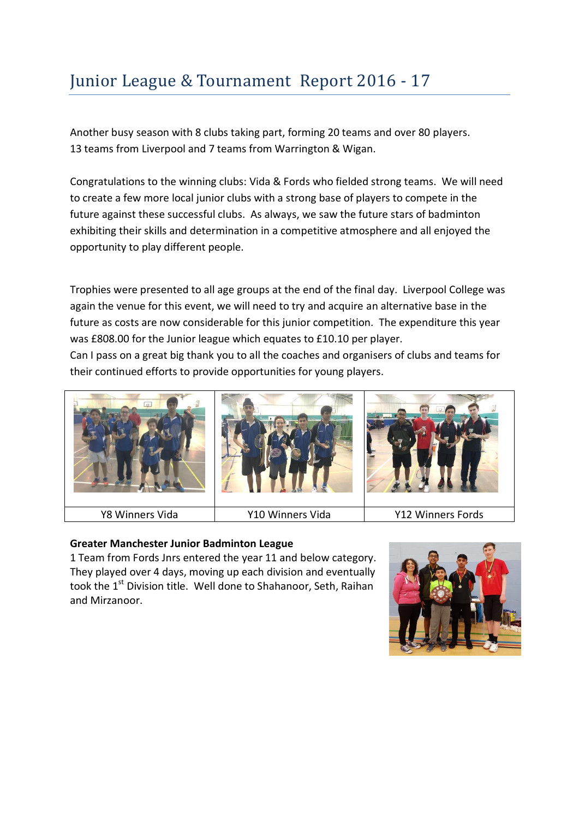# Junior League & Tournament Report 2016 - 17

Another busy season with 8 clubs taking part, forming 20 teams and over 80 players. 13 teams from Liverpool and 7 teams from Warrington & Wigan.

Congratulations to the winning clubs: Vida & Fords who fielded strong teams. We will need to create a few more local junior clubs with a strong base of players to compete in the future against these successful clubs. As always, we saw the future stars of badminton exhibiting their skills and determination in a competitive atmosphere and all enjoyed the opportunity to play different people.

Trophies were presented to all age groups at the end of the final day. Liverpool College was again the venue for this event, we will need to try and acquire an alternative base in the future as costs are now considerable for this junior competition. The expenditure this year was £808.00 for the Junior league which equates to £10.10 per player.

Can I pass on a great big thank you to all the coaches and organisers of clubs and teams for their continued efforts to provide opportunities for young players.



## **Greater Manchester Junior Badminton League**

1 Team from Fords Jnrs entered the year 11 and below category. They played over 4 days, moving up each division and eventually took the 1<sup>st</sup> Division title. Well done to Shahanoor, Seth, Raihan and Mirzanoor.